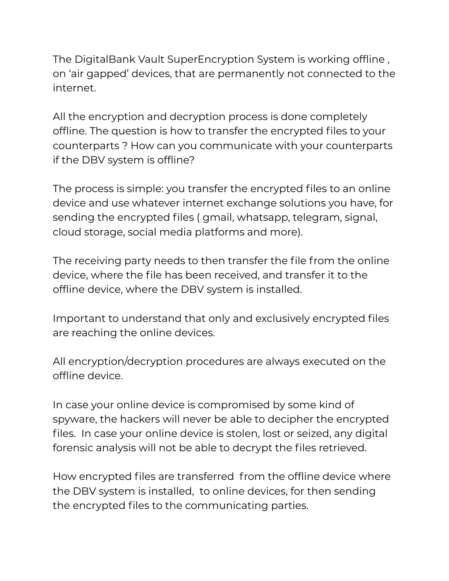The DigitalBank Vault SuperEncryption System is working offline , on 'air gapped' devices, that are permanently not connected to the internet.

All the encryption and decryption process is done completely offline. The question is how to transfer the encrypted files to your counterparts ? How can you communicate with your counterparts if the DBV system is offline?

The process is simple: you transfer the encrypted files to an online device and use whatever internet exchange solutions you have, for sending the encrypted files ( gmail, whatsapp, telegram, signal, cloud storage, social media platforms and more).

The receiving party needs to then transfer the file from the online device, where the file has been received, and transfer it to the offline device, where the DBV system is installed.

Important to understand that only and exclusively encrypted files are reaching the online devices.

All encryption/decryption procedures are always executed on the offline device.

In case your online device is compromised by some kind of spyware, the hackers will never be able to decipher the encrypted files. In case your online device is stolen, lost or seized, any digital forensic analysis will not be able to decrypt the files retrieved.

How encrypted files are transferred from the offline device where the DBV system is installed, to online devices, for then sending the encrypted files to the communicating parties.